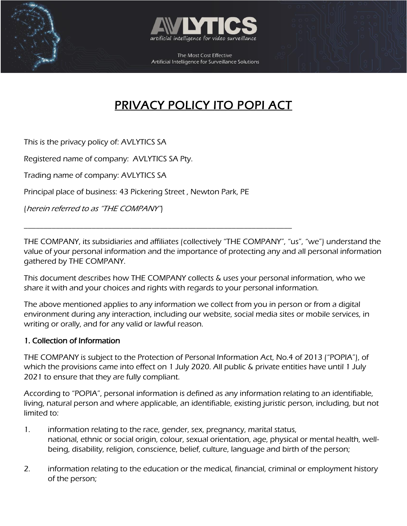



# PRIVACY POLICY ITO POPI ACT

This is the privacy policy of: AVLYTICS SA

Registered name of company: AVLYTICS SA Pty.

Trading name of company: AVLYTICS SA

Principal place of business: 43 Pickering Street , Newton Park, PE

\_\_\_\_\_\_\_\_\_\_\_\_\_\_\_\_\_\_\_\_\_\_\_\_\_\_\_\_\_\_\_\_\_\_\_\_\_\_\_\_\_\_\_\_\_\_\_\_\_\_\_\_\_\_\_\_\_\_\_\_\_\_\_\_\_\_\_

(herein referred to as "THE COMPANY")

THE COMPANY, its subsidiaries and affiliates (collectively "THE COMPANY", "us", "we") understand the value of your personal information and the importance of protecting any and all personal information gathered by THE COMPANY.

This document describes how THE COMPANY collects & uses your personal information, who we share it with and your choices and rights with regards to your personal information.

The above mentioned applies to any information we collect from you in person or from a digital environment during any interaction, including our website, social media sites or mobile services, in writing or orally, and for any valid or lawful reason.

# 1. Collection of Information

THE COMPANY is subject to the Protection of Personal Information Act, No.4 of 2013 ("POPIA"), of which the provisions came into effect on 1 July 2020. All public & private entities have until 1 July 2021 to ensure that they are fully compliant.

According to "POPIA", personal information is defined as any information relating to an identifiable, living, natural person and where applicable, an identifiable, existing juristic person, including, but not limited to:

- 1. information relating to the race, gender, sex, pregnancy, marital status, national, ethnic or social origin, colour, sexual orientation, age, physical or mental health, wellbeing, disability, religion, conscience, belief, culture, language and birth of the person;
- 2. information relating to the education or the medical, financial, criminal or employment history of the person;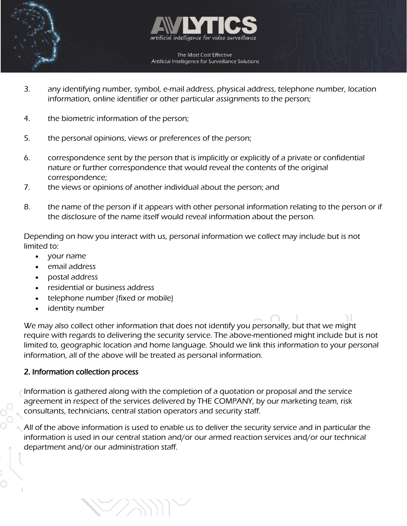



- 3. any identifying number, symbol, e-mail address, physical address, telephone number, location information, online identifier or other particular assignments to the person;
- 4. the biometric information of the person;
- 5. the personal opinions, views or preferences of the person;
- 6. correspondence sent by the person that is implicitly or explicitly of a private or confidential nature or further correspondence that would reveal the contents of the original correspondence;
- 7. the views or opinions of another individual about the person; and
- 8. the name of the person if it appears with other personal information relating to the person or if the disclosure of the name itself would reveal information about the person.

Depending on how you interact with us, personal information we collect may include but is not limited to:

- your name
- email address
- postal address
- residential or business address
- telephone number (fixed or mobile)

 $\bigtriangledown$ 

• identity number

We may also collect other information that does not identify you personally, but that we might require with regards to delivering the security service. The above-mentioned might include but is not limited to, geographic location and home language. Should we link this information to your personal information, all of the above will be treated as personal information.

# 2. Information collection process

Information is gathered along with the completion of a quotation or proposal and the service agreement in respect of the services delivered by THE COMPANY, by our marketing team, risk consultants, technicians, central station operators and security staff.

All of the above information is used to enable us to deliver the security service and in particular the information is used in our central station and/or our armed reaction services and/or our technical department and/or our administration staff.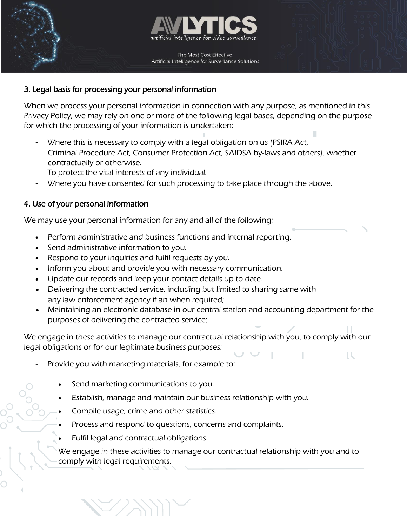



# 3. Legal basis for processing your personal information

When we process your personal information in connection with any purpose, as mentioned in this Privacy Policy, we may rely on one or more of the following legal bases, depending on the purpose for which the processing of your information is undertaken:

- Where this is necessary to comply with a legal obligation on us (PSIRA Act, Criminal Procedure Act, Consumer Protection Act, SAIDSA by-laws and others), whether contractually or otherwise.
- To protect the vital interests of any individual.
- Where you have consented for such processing to take place through the above.

#### 4. Use of your personal information

We may use your personal information for any and all of the following:

- Perform administrative and business functions and internal reporting.
- Send administrative information to you.
- Respond to your inquiries and fulfil requests by you.
- Inform you about and provide you with necessary communication.
- Update our records and keep your contact details up to date.
- Delivering the contracted service, including but limited to sharing same with any law enforcement agency if an when required;
- Maintaining an electronic database in our central station and accounting department for the purposes of delivering the contracted service;

TU.

We engage in these activities to manage our contractual relationship with you, to comply with our legal obligations or for our legitimate business purposes:

- Provide you with marketing materials, for example to:
	- Send marketing communications to you.
	- Establish, manage and maintain our business relationship with you.
	- Compile usage, crime and other statistics.
	- Process and respond to questions, concerns and complaints.
	- Fulfil legal and contractual obligations.

 $\bigtriangledown$ 

We engage in these activities to manage our contractual relationship with you and to comply with legal requirements.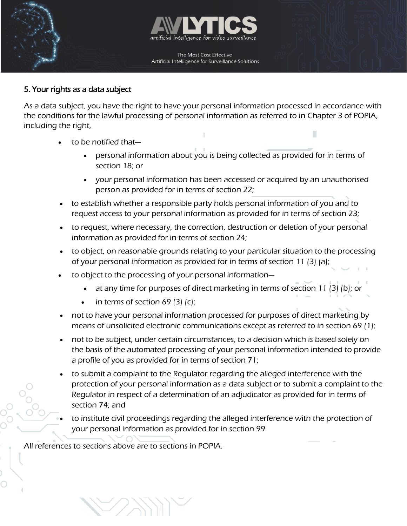



#### 5. Your rights as a data subject

As a data subject, you have the right to have your personal information processed in accordance with the conditions for the lawful processing of personal information as referred to in Chapter 3 of POPIA, including the right,

- to be notified that
	- personal information about you is being collected as provided for in terms of section 18; or
	- your personal information has been accessed or acquired by an unauthorised person as provided for in terms of section 22;
- to establish whether a responsible party holds personal information of you and to request access to your personal information as provided for in terms of section 23;
- to request, where necessary, the correction, destruction or deletion of your personal information as provided for in terms of section 24;
- to object, on reasonable grounds relating to your particular situation to the processing of your personal information as provided for in terms of section 11 (3) (a);
- to object to the processing of your personal information
	- at any time for purposes of direct marketing in terms of section 11 (3) (b); or
	- in terms of section 69 (3) (c);
- not to have your personal information processed for purposes of direct marketing by means of unsolicited electronic communications except as referred to in section 69 (1);
- not to be subject, under certain circumstances, to a decision which is based solely on the basis of the automated processing of your personal information intended to provide a profile of you as provided for in terms of section 71;
- to submit a complaint to the Regulator regarding the alleged interference with the protection of your personal information as a data subject or to submit a complaint to the Regulator in respect of a determination of an adjudicator as provided for in terms of section 74; and
- to institute civil proceedings regarding the alleged interference with the protection of your personal information as provided for in section 99.

All references to sections above are to sections in POPIA.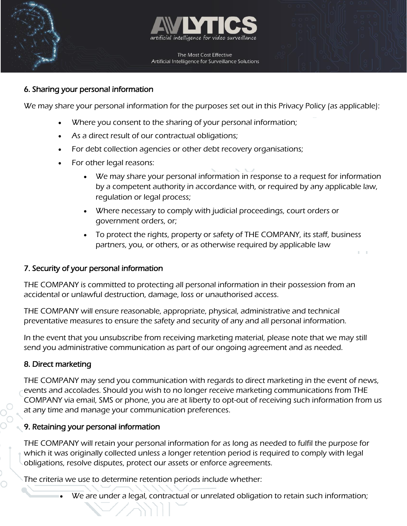



#### 6. Sharing your personal information

We may share your personal information for the purposes set out in this Privacy Policy (as applicable):

- Where you consent to the sharing of your personal information;
- As a direct result of our contractual obligations;
- For debt collection agencies or other debt recovery organisations;
- For other legal reasons:
	- We may share your personal information in response to a request for information by a competent authority in accordance with, or required by any applicable law, regulation or legal process;
	- Where necessary to comply with judicial proceedings, court orders or government orders, or;
	- To protect the rights, property or safety of THE COMPANY, its staff, business partners, you, or others, or as otherwise required by applicable law

# 7. Security of your personal information

THE COMPANY is committed to protecting all personal information in their possession from an accidental or unlawful destruction, damage, loss or unauthorised access.

THE COMPANY will ensure reasonable, appropriate, physical, administrative and technical preventative measures to ensure the safety and security of any and all personal information.

In the event that you unsubscribe from receiving marketing material, please note that we may still send you administrative communication as part of our ongoing agreement and as needed.

# 8. Direct marketing

THE COMPANY may send you communication with regards to direct marketing in the event of news, events and accolades. Should you wish to no longer receive marketing communications from THE COMPANY via email, SMS or phone, you are at liberty to opt-out of receiving such information from us at any time and manage your communication preferences.

# 9. Retaining your personal information

THE COMPANY will retain your personal information for as long as needed to fulfil the purpose for which it was originally collected unless a longer retention period is required to comply with legal obligations, resolve disputes, protect our assets or enforce agreements.

The criteria we use to determine retention periods include whether:

We are under a legal, contractual or unrelated obligation to retain such information;